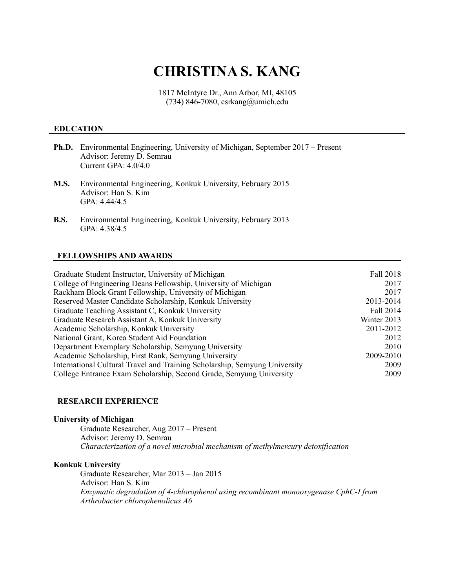# **CHRISTINA S. KANG**

1817 McIntyre Dr., Ann Arbor, MI, 48105 (734) 846-7080, csrkang@umich.edu

## **EDUCATION**

- **Ph.D.** Environmental Engineering, University of Michigan, September 2017 Present Advisor: Jeremy D. Semrau Current GPA: 4.0/4.0
- **M.S.** Environmental Engineering, Konkuk University, February 2015 Advisor: Han S. Kim GPA: 4.44/4.5
- **B.S.** Environmental Engineering, Konkuk University, February 2013 GPA: 4.38/4.5

## **FELLOWSHIPS AND AWARDS**

| Graduate Student Instructor, University of Michigan                        | Fall 2018   |
|----------------------------------------------------------------------------|-------------|
| College of Engineering Deans Fellowship, University of Michigan            | 2017        |
| Rackham Block Grant Fellowship, University of Michigan                     | 2017        |
| Reserved Master Candidate Scholarship, Konkuk University                   | 2013-2014   |
| Graduate Teaching Assistant C, Konkuk University                           | Fall 2014   |
| Graduate Research Assistant A, Konkuk University                           | Winter 2013 |
| Academic Scholarship, Konkuk University                                    | 2011-2012   |
| National Grant, Korea Student Aid Foundation                               | 2012        |
| Department Exemplary Scholarship, Semyung University                       | 2010        |
| Academic Scholarship, First Rank, Semyung University                       | 2009-2010   |
| International Cultural Travel and Training Scholarship, Semyung University | 2009        |
| College Entrance Exam Scholarship, Second Grade, Semyung University        | 2009        |
|                                                                            |             |

#### **RESEARCH EXPERIENCE**

### **University of Michigan**

Graduate Researcher, Aug 2017 – Present Advisor: Jeremy D. Semrau *Characterization of a novel microbial mechanism of methylmercury detoxification*

#### **Konkuk University**

Graduate Researcher, Mar 2013 – Jan 2015 Advisor: Han S. Kim *Enzymatic degradation of 4-chlorophenol using recombinant monooxygenase CphC-I from Arthrobacter chlorophenolicus A6*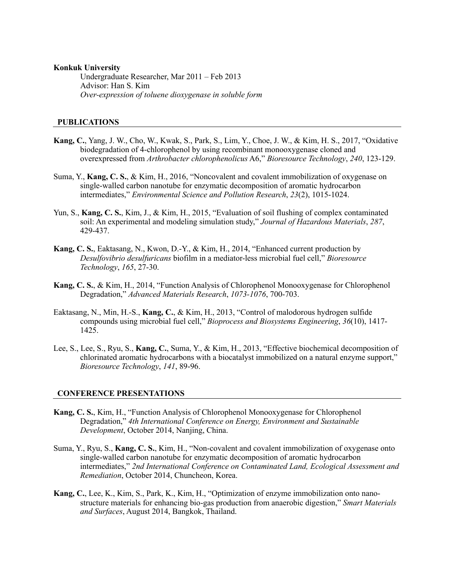#### **Konkuk University**

Undergraduate Researcher, Mar 2011 – Feb 2013 Advisor: Han S. Kim *Over-expression of toluene dioxygenase in soluble form*

### **PUBLICATIONS**

- **Kang, C.**, Yang, J. W., Cho, W., Kwak, S., Park, S., Lim, Y., Choe, J. W., & Kim, H. S., 2017, "Oxidative biodegradation of 4-chlorophenol by using recombinant monooxygenase cloned and overexpressed from *Arthrobacter chlorophenolicus* A6," *Bioresource Technology*, *240*, 123-129.
- Suma, Y., **Kang, C. S.**, & Kim, H., 2016, "Noncovalent and covalent immobilization of oxygenase on single-walled carbon nanotube for enzymatic decomposition of aromatic hydrocarbon intermediates," *Environmental Science and Pollution Research*, *23*(2), 1015-1024.
- Yun, S., **Kang, C. S.**, Kim, J., & Kim, H., 2015, "Evaluation of soil flushing of complex contaminated soil: An experimental and modeling simulation study," *Journal of Hazardous Materials*, *287*, 429-437.
- **Kang, C. S.**, Eaktasang, N., Kwon, D.-Y., & Kim, H., 2014, "Enhanced current production by *Desulfovibrio desulfuricans* biofilm in a mediator-less microbial fuel cell," *Bioresource Technology*, *165*, 27-30.
- **Kang, C. S.**, & Kim, H., 2014, "Function Analysis of Chlorophenol Monooxygenase for Chlorophenol Degradation," *Advanced Materials Research*, *1073-1076*, 700-703.
- Eaktasang, N., Min, H.-S., **Kang, C.**, & Kim, H., 2013, "Control of malodorous hydrogen sulfide compounds using microbial fuel cell," *Bioprocess and Biosystems Engineering*, *36*(10), 1417-  $142\bar{5}$ .
- Lee, S., Lee, S., Ryu, S., **Kang, C.**, Suma, Y., & Kim, H., 2013, "Effective biochemical decomposition of chlorinated aromatic hydrocarbons with a biocatalyst immobilized on a natural enzyme support," *Bioresource Technology*, *141*, 89-96.

#### **CONFERENCE PRESENTATIONS**

- **Kang, C. S.**, Kim, H., "Function Analysis of Chlorophenol Monooxygenase for Chlorophenol Degradation," *4th International Conference on Energy, Environment and Sustainable Development*, October 2014, Nanjing, China.
- Suma, Y., Ryu, S., **Kang, C. S.**, Kim, H., "Non-covalent and covalent immobilization of oxygenase onto single-walled carbon nanotube for enzymatic decomposition of aromatic hydrocarbon intermediates," *2nd International Conference on Contaminated Land, Ecological Assessment and Remediation*, October 2014, Chuncheon, Korea.
- **Kang, C.**, Lee, K., Kim, S., Park, K., Kim, H., "Optimization of enzyme immobilization onto nanostructure materials for enhancing bio-gas production from anaerobic digestion," *Smart Materials and Surfaces*, August 2014, Bangkok, Thailand.